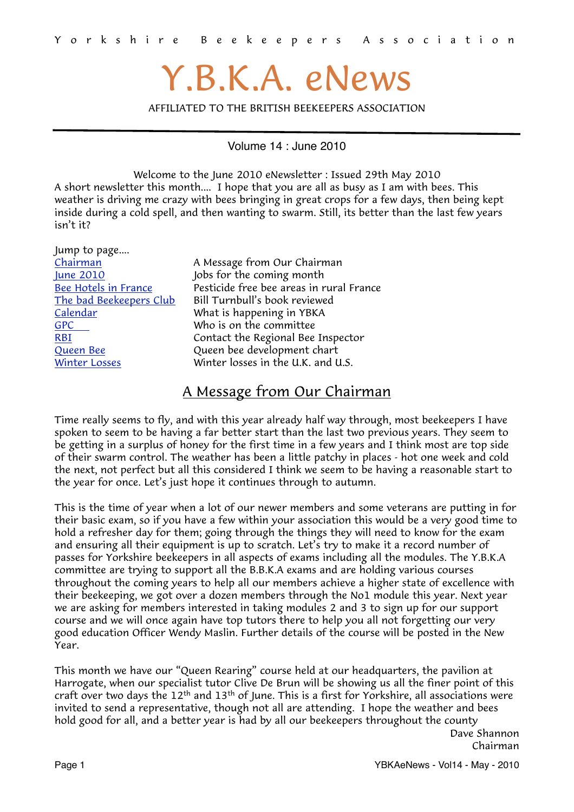# Y.B.K.A. eNews

<span id="page-0-1"></span>AFFILIATED TO THE BRITISH BEEKEEPERS ASSOCIATION

Volume 14 : June 2010

Welcome to the June 2010 eNewsletter : Issued 29th May 2010 A short newsletter this month.... I hope that you are all as busy as I am with bees. This weather is driving me crazy with bees bringing in great crops for a few days, then being kept inside during a cold spell, and then wanting to swarm. Still, its better than the last few years isn't it?

| Jump to page            |                                          |
|-------------------------|------------------------------------------|
| Chairman                | A Message from Our Chairman              |
| June 2010               | Jobs for the coming month                |
| Bee Hotels in France    | Pesticide free bee areas in rural France |
| The bad Beekeepers Club | Bill Turnbull's book reviewed            |
| Calendar                | What is happening in YBKA                |
| <b>GPC</b>              | Who is on the committee                  |
| <b>RBI</b>              | Contact the Regional Bee Inspector       |
| Queen Bee               | Queen bee development chart              |
| <b>Winter Losses</b>    | Winter losses in the U.K. and U.S.       |
|                         |                                          |

## <span id="page-0-0"></span>A Message from Our Chairman

Time really seems to fly, and with this year already half way through, most beekeepers I have spoken to seem to be having a far better start than the last two previous years. They seem to be getting in a surplus of honey for the first time in a few years and I think most are top side of their swarm control. The weather has been a little patchy in places - hot one week and cold the next, not perfect but all this considered I think we seem to be having a reasonable start to the year for once. Let's just hope it continues through to autumn.

This is the time of year when a lot of our newer members and some veterans are putting in for their basic exam, so if you have a few within your association this would be a very good time to hold a refresher day for them; going through the things they will need to know for the exam and ensuring all their equipment is up to scratch. Let's try to make it a record number of passes for Yorkshire beekeepers in all aspects of exams including all the modules. The Y.B.K.A committee are trying to support all the B.B.K.A exams and are holding various courses throughout the coming years to help all our members achieve a higher state of excellence with their beekeeping, we got over a dozen members through the No1 module this year. Next year we are asking for members interested in taking modules 2 and 3 to sign up for our support course and we will once again have top tutors there to help you all not forgetting our very good education Officer Wendy Maslin. Further details of the course will be posted in the New Year.

This month we have our "Queen Rearing" course held at our headquarters, the pavilion at Harrogate, when our specialist tutor Clive De Brun will be showing us all the finer point of this craft over two days the 12<sup>th</sup> and 13<sup>th</sup> of June. This is a first for Yorkshire, all associations were invited to send a representative, though not all are attending. I hope the weather and bees hold good for all, and a better year is had by all our beekeepers throughout the county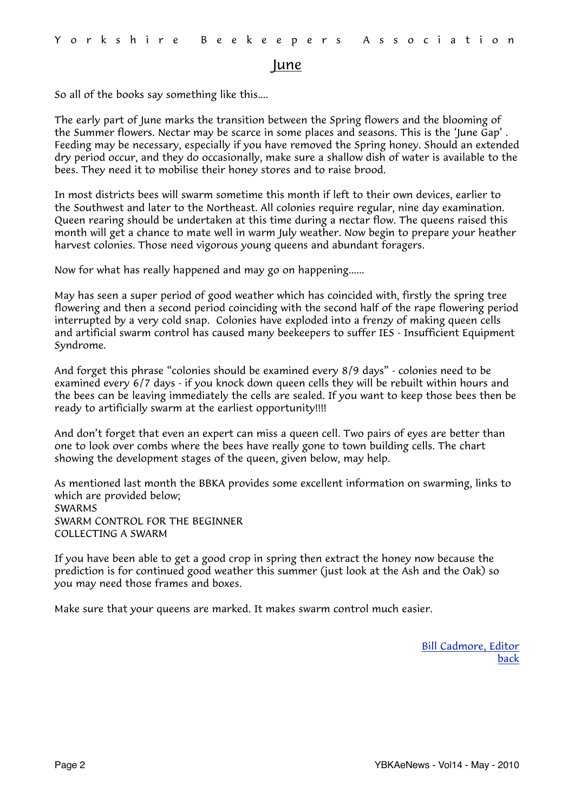#### <span id="page-1-0"></span>June

So all of the books say something like this....

The early part of June marks the transition between the Spring flowers and the blooming of the Summer flowers. Nectar may be scarce in some places and seasons. This is the 'June Gap' . Feeding may be necessary, especially if you have removed the Spring honey. Should an extended dry period occur, and they do occasionally, make sure a shallow dish of water is available to the bees. They need it to mobilise their honey stores and to raise brood.

In most districts bees will swarm sometime this month if left to their own devices, earlier to the Southwest and later to the Northeast. All colonies require regular, nine day examination. Queen rearing should be undertaken at this time during a nectar flow. The queens raised this month will get a chance to mate well in warm July weather. Now begin to prepare your heather harvest colonies. Those need vigorous young queens and abundant foragers.

Now for what has really happened and may go on happening......

May has seen a super period of good weather which has coincided with, firstly the spring tree flowering and then a second period coinciding with the second half of the rape flowering period interrupted by a very cold snap. Colonies have exploded into a frenzy of making queen cells and artificial swarm control has caused many beekeepers to suffer IES - Insufficient Equipment Syndrome.

And forget this phrase "colonies should be examined every 8/9 days" - colonies need to be examined every 6/7 days - if you knock down queen cells they will be rebuilt within hours and the bees can be leaving immediately the cells are sealed. If you want to keep those bees then be ready to artificially swarm at the earliest opportunity!!!!

And don't forget that even an expert can miss a queen cell. Two pairs of eyes are better than one to look over combs where the bees have really gone to town building cells. The chart showing the development stages of the queen, given below, may help.

As mentioned last month the BBKA provides some excellent information on swarming, links to which are provided below; [SWARMS](http://www.britishbee.org.uk/files/swarms_leaflet-R3.pdf) [SWARM CONTROL FOR THE BEGINNER](http://www.britishbee.org.uk/files/swarmcont_B3.PDF) [COLLECTING A SWARM](http://www.britishbee.org.uk/files/colswarm_B4.PDF)

If you have been able to get a good crop in spring then extract the honey now because the prediction is for continued good weather this summer (just look at the Ash and the Oak) so you may need those frames and boxes.

Make sure that your queens are marked. It makes swarm control much easier.

[Bill Cadmore, Editor](mailto:ybkanews@ntlworld.com?subject=eNewsletter) [back](#page-0-1)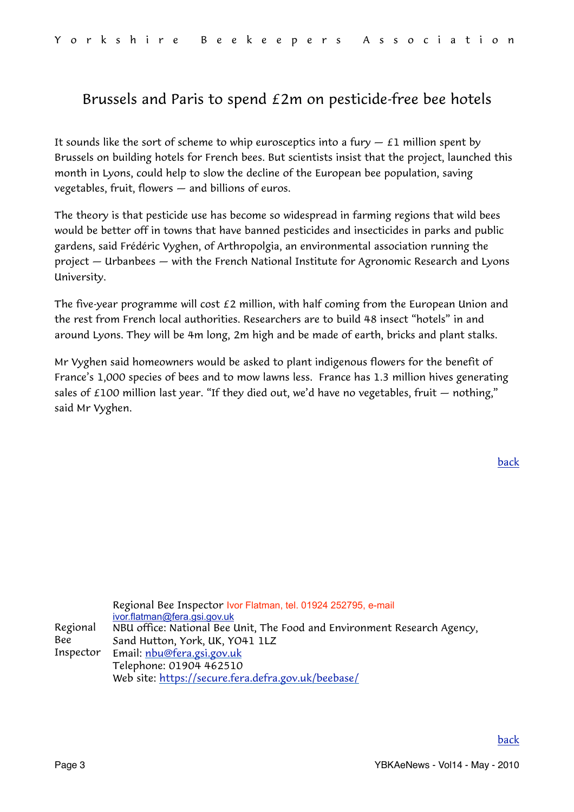## <span id="page-2-0"></span>Brussels and Paris to spend £2m on pesticide-free bee hotels

It sounds like the sort of scheme to whip eurosceptics into a fury  $-$  £1 million spent by Brussels on building hotels for French bees. But scientists insist that the project, launched this month in Lyons, could help to slow the decline of the European bee population, saving vegetables, fruit, flowers — and billions of euros.

The theory is that pesticide use has become so widespread in farming regions that wild bees would be better off in towns that have banned pesticides and insecticides in parks and public gardens, said Frédéric Vyghen, of Arthropolgia, an environmental association running the project — Urbanbees — with the French National Institute for Agronomic Research and Lyons University.

The five-year programme will cost  $E2$  million, with half coming from the European Union and the rest from French local authorities. Researchers are to build 48 insect "hotels" in and around Lyons. They will be 4m long, 2m high and be made of earth, bricks and plant stalks.

Mr Vyghen said homeowners would be asked to plant indigenous flowers for the benefit of France's 1,000 species of bees and to mow lawns less. France has 1.3 million hives generating sales of  $£100$  million last year. "If they died out, we'd have no vegetables, fruit  $-$  nothing," said Mr Vyghen.

<span id="page-2-1"></span>

|           | Regional Bee Inspector Ivor Flatman, tel. 01924 252795, e-mail           |
|-----------|--------------------------------------------------------------------------|
|           | ivor.flatman@fera.gsi.gov.uk                                             |
| Regional  | NBU office: National Bee Unit, The Food and Environment Research Agency, |
| Bee       | Sand Hutton, York, UK, YO41 1LZ                                          |
| Inspector | Email: <u>nbu@fera.gsi.gov.uk</u>                                        |
|           | Telephone: 01904 462510                                                  |
|           | Web site: https://secure.fera.defra.gov.uk/beebase/                      |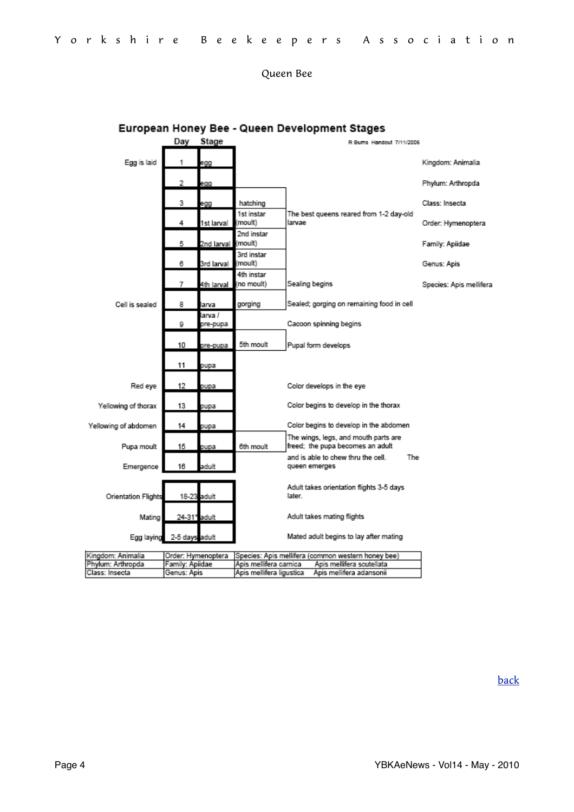#### <span id="page-3-0"></span>Queen Bee

|                            | Day             | Stage                                                                    | R Bums Handout 7/11/2006                            |        |                                                                          |     |                         |  |
|----------------------------|-----------------|--------------------------------------------------------------------------|-----------------------------------------------------|--------|--------------------------------------------------------------------------|-----|-------------------------|--|
| Egg is laid                | 1               | egg                                                                      |                                                     |        |                                                                          |     | Kingdom: Animalia       |  |
|                            | 2               | egg                                                                      |                                                     |        |                                                                          |     | Phylum: Arthropda       |  |
|                            | 3               | egg                                                                      | hatching                                            |        |                                                                          |     | Class: Insecta          |  |
|                            | 4               | 1st Iarval                                                               | 1st instar<br>(moult)                               | larvae | The best queens reared from 1-2 day-old                                  |     | Order: Hymenoptera      |  |
|                            | 5               | 2nd larval                                                               | 2nd instar<br>(moult)                               |        |                                                                          |     | Family: Apiidae         |  |
|                            | 6               | 3rd larval                                                               | 3rd instar<br>(moult)                               |        |                                                                          |     | Genus: Apis             |  |
|                            | 7               | 4th larval                                                               | 4th instar<br>(no moult)                            |        | Sealing begins                                                           |     | Species: Apis mellifera |  |
| Cell is sealed             | 8               | arva                                                                     | gorging                                             |        | Sealed; gorging on remaining food in cell                                |     |                         |  |
|                            | 9               | larva /<br>pre-pupa                                                      |                                                     |        | Cacoon spinning begins                                                   |     |                         |  |
|                            | 10              | pre-pupa                                                                 | 5th moult                                           |        | Pupal form develops                                                      |     |                         |  |
|                            | 11              | pupa                                                                     |                                                     |        |                                                                          |     |                         |  |
| Red eye                    | 12              | pupa                                                                     |                                                     |        | Color develops in the eye                                                |     |                         |  |
| Yellowing of thorax        | 13              | pupa                                                                     |                                                     |        | Color begins to develop in the thorax                                    |     |                         |  |
| Yellowing of abdomen       | 14              | pupa                                                                     |                                                     |        | Color begins to develop in the abdomen                                   |     |                         |  |
| Pupa moult                 | 15              | pupa                                                                     | 6th moult                                           |        | The wings, legs, and mouth parts are<br>freed; the pupa becomes an adult |     |                         |  |
| Emergence                  | 16              | adult                                                                    |                                                     |        | and is able to chew thru the cell.<br>queen emerges                      | The |                         |  |
| <b>Orientation Flights</b> |                 | 18-23 adult                                                              |                                                     | later. | Adult takes orientation flights 3-5 days                                 |     |                         |  |
| Mating                     | 24-31* adult    |                                                                          |                                                     |        | Adult takes mating flights                                               |     |                         |  |
| Egg laying                 | 2-5 days adult  |                                                                          |                                                     |        | Mated adult begins to lay after mating                                   |     |                         |  |
| Kingdom: Animalia          |                 | Order: Hymenoptera<br>Species: Apis mellifera (common western honey bee) |                                                     |        |                                                                          |     |                         |  |
| Phylum: Arthropda          | Family: Apiidae |                                                                          | Apis mellifera scutellata<br>Apis mellifera carnica |        |                                                                          |     |                         |  |
| Class: Insecta             | Genus: Apis     |                                                                          | Apis mellifera ligustica                            |        | Apis mellifera adansonii                                                 |     |                         |  |

#### European Honey Bee - Queen Development Stages

[back](#page-0-1)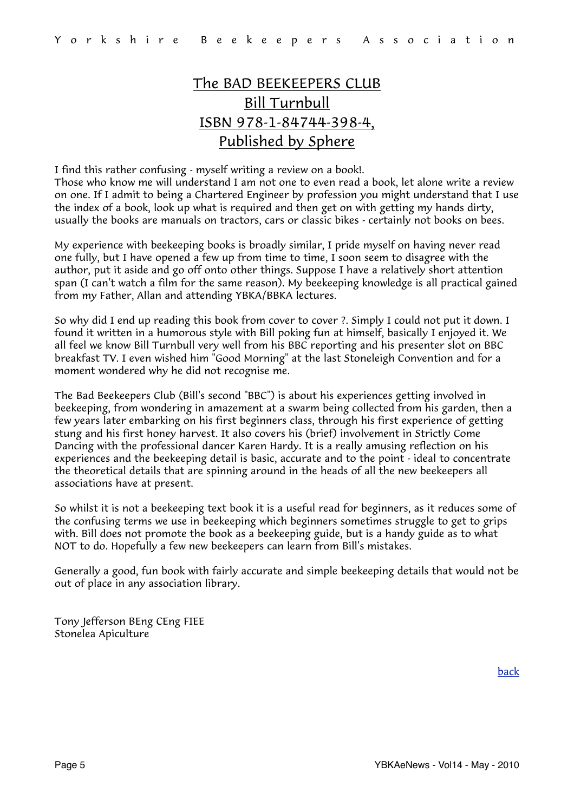# <span id="page-4-0"></span>The BAD BEEKEEPERS CLUB Bill Turnbull ISBN 978-1-84744-398-4, Published by Sphere

I find this rather confusing - myself writing a review on a book!.

Those who know me will understand I am not one to even read a book, let alone write a review on one. If I admit to being a Chartered Engineer by profession you might understand that I use the index of a book, look up what is required and then get on with getting my hands dirty, usually the books are manuals on tractors, cars or classic bikes - certainly not books on bees.

My experience with beekeeping books is broadly similar, I pride myself on having never read one fully, but I have opened a few up from time to time, I soon seem to disagree with the author, put it aside and go off onto other things. Suppose I have a relatively short attention span (I can't watch a film for the same reason). My beekeeping knowledge is all practical gained from my Father, Allan and attending YBKA/BBKA lectures.

So why did I end up reading this book from cover to cover ?. Simply I could not put it down. I found it written in a humorous style with Bill poking fun at himself, basically I enjoyed it. We all feel we know Bill Turnbull very well from his BBC reporting and his presenter slot on BBC breakfast TV. I even wished him "Good Morning" at the last Stoneleigh Convention and for a moment wondered why he did not recognise me.

The Bad Beekeepers Club (Bill's second "BBC") is about his experiences getting involved in beekeeping, from wondering in amazement at a swarm being collected from his garden, then a few years later embarking on his first beginners class, through his first experience of getting stung and his first honey harvest. It also covers his (brief) involvement in Strictly Come Dancing with the professional dancer Karen Hardy. It is a really amusing reflection on his experiences and the beekeeping detail is basic, accurate and to the point - ideal to concentrate the theoretical details that are spinning around in the heads of all the new beekeepers all associations have at present.

So whilst it is not a beekeeping text book it is a useful read for beginners, as it reduces some of the confusing terms we use in beekeeping which beginners sometimes struggle to get to grips with. Bill does not promote the book as a beekeeping guide, but is a handy guide as to what NOT to do. Hopefully a few new beekeepers can learn from Bill's mistakes.

Generally a good, fun book with fairly accurate and simple beekeeping details that would not be out of place in any association library.

Tony Jefferson BEng CEng FIEE Stonelea Apiculture

[back](#page-0-1)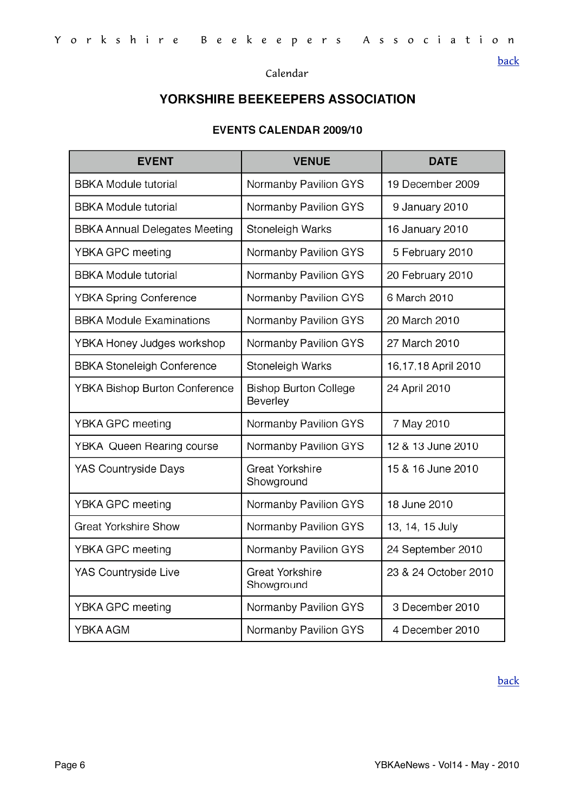#### <span id="page-5-0"></span>Calendar

### YORKSHIRE BEEKEEPERS ASSOCIATION

#### **EVENTS CALENDAR 2009/10**

| <b>EVENT</b>                         | <b>VENUE</b>                             | <b>DATE</b>          |
|--------------------------------------|------------------------------------------|----------------------|
| <b>BBKA Module tutorial</b>          | Normanby Pavilion GYS                    | 19 December 2009     |
| <b>BBKA Module tutorial</b>          | Normanby Pavilion GYS                    | 9 January 2010       |
| <b>BBKA Annual Delegates Meeting</b> | Stoneleigh Warks                         | 16 January 2010      |
| YBKA GPC meeting                     | Normanby Pavilion GYS                    | 5 February 2010      |
| <b>BBKA Module tutorial</b>          | Normanby Pavilion GYS                    | 20 February 2010     |
| <b>YBKA Spring Conference</b>        | Normanby Pavilion GYS                    | 6 March 2010         |
| <b>BBKA Module Examinations</b>      | Normanby Pavilion GYS                    | 20 March 2010        |
| YBKA Honey Judges workshop           | Normanby Pavilion GYS                    | 27 March 2010        |
| <b>BBKA Stoneleigh Conference</b>    | Stoneleigh Warks                         | 16,17,18 April 2010  |
| <b>YBKA Bishop Burton Conference</b> | <b>Bishop Burton College</b><br>Beverley | 24 April 2010        |
| YBKA GPC meeting                     | Normanby Pavilion GYS                    | 7 May 2010           |
| <b>YBKA Queen Rearing course</b>     | Normanby Pavilion GYS                    | 12 & 13 June 2010    |
| <b>YAS Countryside Days</b>          | <b>Great Yorkshire</b><br>Showground     | 15 & 16 June 2010    |
| YBKA GPC meeting                     | Normanby Pavilion GYS                    | 18 June 2010         |
| <b>Great Yorkshire Show</b>          | Normanby Pavilion GYS                    | 13, 14, 15 July      |
| YBKA GPC meeting                     | Normanby Pavilion GYS                    | 24 September 2010    |
| YAS Countryside Live                 | <b>Great Yorkshire</b><br>Showground     | 23 & 24 October 2010 |
| YBKA GPC meeting                     | Normanby Pavilion GYS                    | 3 December 2010      |
| YBKA AGM                             | Normanby Pavilion GYS                    | 4 December 2010      |

#### [back](#page-0-1)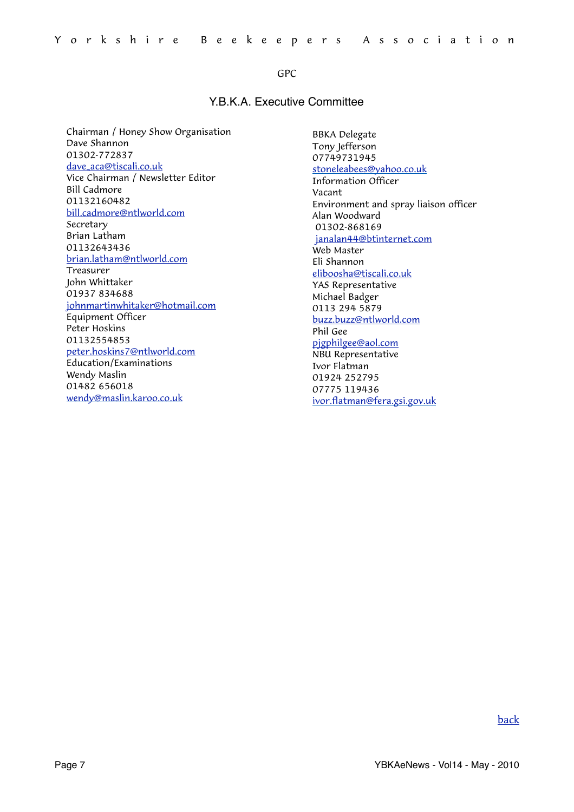#### <span id="page-6-0"></span>GPC

#### Y.B.K.A. Executive Committee

Chairman / Honey Show Organisation Dave Shannon 01302-772837 [dave\\_aca@tiscali.co.uk](mailto:dave_aca@tiscali.co.uk?subject=GPC) Vice Chairman / Newsletter Editor Bill Cadmore 01132160482 [bill.cadmore@ntlworld.com](mailto:bill.cadmore@ntlworld.com) Secretary Brian Latham 01132643436 [brian.latham@ntlworld.com](mailto:brian.latham@ntlworld.com) Treasurer John Whittaker 01937 834688 [johnmartinwhitaker@hotmail.com](mailto:johnmartinwhitaker@hotmail.com) Equipment Officer Peter Hoskins 01132554853 [peter.hoskins7@ntlworld.com](mailto:peter.hoskins7@ntlworld.com) Education/Examinations Wendy Maslin 01482 656018 [wendy@maslin.karoo.co.uk](mailto:wendy@maslin.karoo.co.uk)

BBKA Delegate Tony Jefferson 07749731945 [stoneleabees@yahoo.co.uk](mailto:stoneleabees@yahoo.co.uk) Information Officer Vacant Environment and spray liaison officer Alan Woodward 01302-868169 [janalan44@btinternet.com](mailto:janalan44@btinternet.com) Web Master Eli Shannon [eliboosha@tiscali.co.uk](mailto:eliboosha@tiscali.co.uk) YAS Representative Michael Badger 0113 294 5879 [buzz.buzz@ntlworld.com](mailto:buzz.buzz@ntlworld.com) Phil Gee [pjgphilgee@aol.com](mailto:pjgphilgee@aol.com) NBU Representative Ivor Flatman 01924 252795 07775 119436 [ivor.flatman@fera.gsi.gov.uk](mailto:ivor.flatman@fera.gsi.gov.uk)